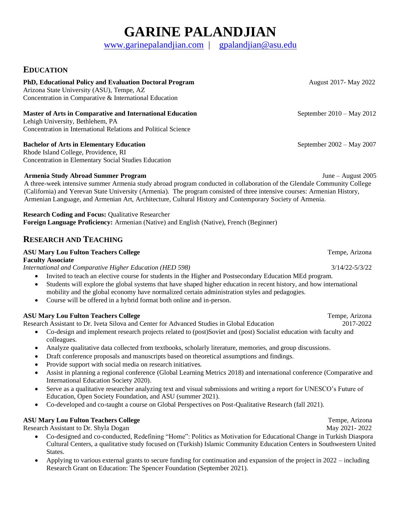# **GARINE PALANDJIAN**

[www.garinepalandjian.com](http://www.garinepalandjian.com/) | [gpalandjian@asu.edu](mailto:gpalandjian@asu.edu)

### **EDUCATION**

### **PhD, Educational Policy and Evaluation Doctoral Program** August 2017- May 2022

Arizona State University (ASU), Tempe, AZ Concentration in Comparative & International Education

### **Master of Arts in Comparative and International Education** September 2010 – May 2012

Lehigh University, Bethlehem, PA Concentration in International Relations and Political Science

### **Bachelor of Arts in Elementary Education** September 2002 – May 2007

Rhode Island College, Providence, RI Concentration in Elementary Social Studies Education

### **Armenia Study Abroad Summer Program** June – August 2005

A three-week intensive summer Armenia study abroad program conducted in collaboration of the Glendale Community College (California) and Yerevan State University (Armenia). The program consisted of three intensive courses: Armenian History, Armenian Language, and Armenian Art, Architecture, Cultural History and Contemporary Society of Armenia.

**Research Coding and Focus:** Qualitative Researcher **Foreign Language Proficiency:** Armenian (Native) and English (Native), French (Beginner)

### **RESEARCH AND TEACHING**

#### **ASU Mary Lou Fulton Teachers College** Tempe, Arizona **Faculty Associate**

*International and Comparative Higher Education (HED 598)* 3/14/22-5/3/22

- Invited to teach an elective course for students in the Higher and Postsecondary Education MEd program.
- Students will explore the global systems that have shaped higher education in recent history, and how international mobility and the global economy have normalized certain administration styles and pedagogies.
- Course will be offered in a hybrid format both online and in-person.

### **ASU Mary Lou Fulton Teachers College** Tempe, Arizona **Tempe, Arizona**

Research Assistant to Dr. Iveta Silova and Center for Advanced Studies in Global Education 2017-2022

- Co-design and implement research projects related to (post)Soviet and (post) Socialist education with faculty and colleagues.
- Analyze qualitative data collected from textbooks, scholarly literature, memories, and group discussions.
- Draft conference proposals and manuscripts based on theoretical assumptions and findings.
- Provide support with social media on research initiatives.
- Assist in planning a regional conference (Global Learning Metrics 2018) and international conference (Comparative and International Education Society 2020).
- Serve as a qualitative researcher analyzing text and visual submissions and writing a report for UNESCO's Future of Education, Open Society Foundation, and ASU (summer 2021).
- Co-developed and co-taught a course on Global Perspectives on Post-Qualitative Research (fall 2021).

#### **ASU Mary Lou Fulton Teachers College** Tempe, Arizona **Tempe, Arizona**

Research Assistant to Dr. Shyla Dogan May 2021- 2022

- Co-designed and co-conducted, Redefining "Home": Politics as Motivation for Educational Change in Turkish Diaspora Cultural Centers, a qualitative study focused on (Turkish) Islamic Community Education Centers in Southwestern United States.
- Applying to various external grants to secure funding for continuation and expansion of the project in 2022 including Research Grant on Education: The Spencer Foundation (September 2021).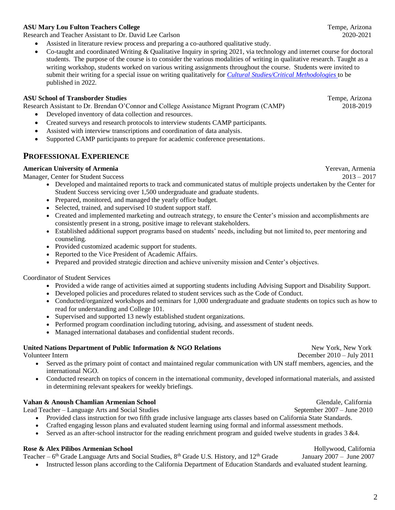### **ASU Mary Lou Fulton Teachers College** Tempe, Arizona **Tempe, Arizona**

Research and Teacher Assistant to Dr. David Lee Carlson 2020-2021

- Assisted in literature review process and preparing a co-authored qualitative study.
- Co-taught and coordinated Writing & Qualitative Inquiry in spring 2021, via technology and internet course for doctoral students. The purpose of the course is to consider the various modalities of writing in qualitative research. Taught as a writing workshop, students worked on various writing assignments throughout the course. Students were invited to submit their writing for a special issue on writing qualitatively for *[Cultural Studies/Critical Methodologies](https://journals.sagepub.com/home/csc)* to be published in 2022.

#### **ASU School of Transborder Studies** Tempe, Arizona

Research Assistant to Dr. Brendan O'Connor and College Assistance Migrant Program (CAMP) 2018-2019

- Developed inventory of data collection and resources.
- Created surveys and research protocols to interview students CAMP participants.
- Assisted with interview transcriptions and coordination of data analysis.
- Supported CAMP participants to prepare for academic conference presentations.

### **PROFESSIONAL EXPERIENCE**

### **American University of Armenia Yerevan, Armenia Yerevan, Armenia**

Manager, Center for Student Success2013 – 2017

- Developed and maintained reports to track and communicated status of multiple projects undertaken by the Center for Student Success servicing over 1,500 undergraduate and graduate students.
- Prepared, monitored, and managed the yearly office budget.
- Selected, trained, and supervised 10 student support staff.
- Created and implemented marketing and outreach strategy, to ensure the Center's mission and accomplishments are consistently present in a strong, positive image to relevant stakeholders.
- Established additional support programs based on students' needs, including but not limited to, peer mentoring and counseling.
- Provided customized academic support for students.
- Reported to the Vice President of Academic Affairs.
- Prepared and provided strategic direction and achieve university mission and Center's objectives.

#### Coordinator of Student Services

- Provided a wide range of activities aimed at supporting students including Advising Support and Disability Support.
- Developed policies and procedures related to student services such as the Code of Conduct.
- Conducted/organized workshops and seminars for 1,000 undergraduate and graduate students on topics such as how to read for understanding and College 101.
- Supervised and supported 13 newly established student organizations.
- Performed program coordination including tutoring, advising, and assessment of student needs.
- Managed international databases and confidential student records.

#### **United Nations Department of Public Information & NGO Relations New York, New York, New York**

Volunteer Intern December 2010 – July 2011

- Served as the primary point of contact and maintained regular communication with UN staff members, agencies, and the international NGO.
- Conducted research on topics of concern in the international community, developed informational materials, and assisted in determining relevant speakers for weekly briefings.

#### **Vahan & Anoush Chamlian Armenian School** Glendale, California Glendale, California

Lead Teacher – Language Arts and Social Studies September 2007 – June 2010

- Provided class instruction for two fifth grade inclusive language arts classes based on California State Standards.
- Crafted engaging lesson plans and evaluated student learning using formal and informal assessment methods.
- Served as an after-school instructor for the reading enrichment program and guided twelve students in grades 3 &4.

### **Rose & Alex Pilibos Armenian School Hollywood, California Hollywood, California**

Teacher – 6<sup>th</sup> Grade Language Arts and Social Studies, 8<sup>th</sup> Grade U.S. History, and 12<sup>th</sup> Grade January 2007 – June 2007

• Instructed lesson plans according to the California Department of Education Standards and evaluated student learning.

2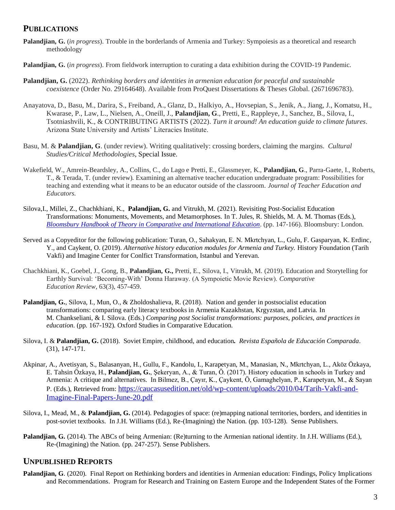### **PUBLICATIONS**

- **Palandjian, G.** (*in progress*). Trouble in the borderlands of Armenia and Turkey: Sympoiesis as a theoretical and research methodology
- **Palandjian, G.** (*in progress*). From fieldwork interruption to curating a data exhibition during the COVID-19 Pandemic.
- **Palandjian, G.** (2022). *Rethinking borders and identities in armenian education for peaceful and sustainable coexistence* (Order No. 29164648). Available from ProQuest Dissertations & Theses Global. (2671696783).
- Anayatova, D., Basu, M., Darira, S., Freiband, A., Glanz, D., Halkiyo, A., Hovsepian, S., Jenik, A., Jiang, J., Komatsu, H., Kwarase, P., Law, L., Nielsen, A., Oneill, J., **Palandjian, G**., Pretti, E., Rappleye, J., Sanchez, B., Silova, I., Tsotniashvili, K., & CONTRIBUTING ARTISTS (2022). *Turn it around! An education guide to climate futures*. Arizona State University and Artists' Literacies Institute.
- Basu, M. & **Palandjian, G**. (under review). Writing qualitatively: crossing borders, claiming the margins. *Cultural Studies/Critical Methodologies*, Special Issue.
- Wakefield, W., Amrein-Beardsley, A., Collins, C., do Lago e Pretti, E., Glassmeyer, K., **Palandjian, G**., Parra-Gaete, I., Roberts, T., & Terada, T. (under review). Examining an alternative teacher education undergraduate program: Possibilities for teaching and extending what it means to be an educator outside of the classroom. *Journal of Teacher Education and Educators.*
- Silova,I., Millei, Z., Chachkhiani, K., **Palandjian, G.** and Vitrukh, M. (2021). Revisiting Post-Socialist Education Transformations: Monuments, Movements, and Metamorphoses. In T. Jules, R. Shields, M. A. M. Thomas (Eds.), *Bloomsbury Handbook of Theory in [Comparative and International Education](https://www.bloomsbury.com/uk/the-bloomsbury-handbook-of-theory-in-comparative-and-international-education-9781350078765/)*. (pp. 147-166). Bloomsbury: London.
- Served as a Copyeditor for the following publication: Turan, O., Sahakyan, E. N. Mkrtchyan, L., Gulu, F. Gasparyan, K. Erdinc, Y., and Caykent, O. (2019). *Alternative history education modules for Armenia and Turkey.* History Foundation (Tarih Vakfi) and Imagine Center for Conlfict Transformation, Istanbul and Yerevan.
- Chachkhiani, K., Goebel, J., Gong, B., **Palandjian, G.,** Pretti, E., Silova, I., Vitrukh, M. (2019). Education and Storytelling for Earthly Survival: 'Becoming-With' Donna Haraway. (A Sympoietic Movie Review). *Comparative Education Review,* 63(3), 457-459.
- **Palandjian, G.**, Silova, I., Mun, O., & Zholdoshalieva, R. (2018). Nation and gender in postsocialist education transformations: comparing early literacy textbooks in Armenia Kazakhstan, Krgyzstan, and Latvia. In M. Chankseliani, & I. Silova. (Eds.) *Comparing post Socialist transformations: purposes, policies, and practices in education*. (pp. 167-192). Oxford Studies in Comparative Education.
- Silova, I. & **Palandjian, G.** (2018). Soviet Empire, childhood, and education*. Revista Española de Educación Comparada*. (31), 147-171.
- Akpinar, A., Avetisyan, S., Balasanyan, H., Gullu, F., Kandolu, I., Karapetyan, M., Manasian, N., Mkrtchyan, L., Aköz Özkaya, E. Tahsin Özkaya, H., **Palandjian, G.**, Şekeryan, A., & Turan, Ö. (2017). History education in schools in Turkey and Armenia: A critique and alternatives. In Bilmez, B., Çayır, K., Çaykent, Ö, Gamaghelyan, P., Karapetyan, M., & Sayan P. (Eds.), Retrieved from: [https://caucasusedition.net/old/wp-content/uploads/2010/04/Tarih-Vakfi-and-](https://caucasusedition.net/old/wp-content/uploads/2010/04/Tarih-Vakfi-and-Imagine-Final-Papers-June-20.pdf)[Imagine-Final-Papers-June-20.pdf](https://caucasusedition.net/old/wp-content/uploads/2010/04/Tarih-Vakfi-and-Imagine-Final-Papers-June-20.pdf)
- Silova, I., Mead, M., & **Palandjian, G.** (2014). Pedagogies of space: (re)mapping national territories, borders, and identities in post-soviet textbooks. In J.H. Williams (Ed.), Re-(Imagining) the Nation. (pp. 103-128). Sense Publishers.
- **Palandjian, G.** (2014). The ABCs of being Armenian: (Re)turning to the Armenian national identity. In J.H. Williams (Ed.), Re-(Imagining) the Nation. (pp. 247-257). Sense Publishers.

### **UNPUBLISHED REPORTS**

**Palandjian, G**. (2020). Final Report on Rethinking borders and identities in Armenian education: Findings, Policy Implications and Recommendations. Program for Research and Training on Eastern Europe and the Independent States of the Former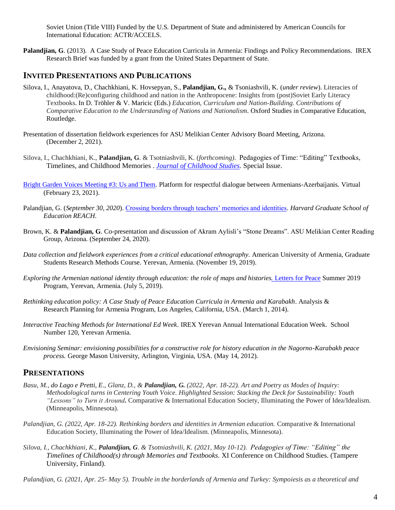Soviet Union (Title VIII) Funded by the U.S. Department of State and administered by American Councils for International Education: ACTR/ACCELS.

**Palandjian, G**. (2013). A Case Study of Peace Education Curricula in Armenia: Findings and Policy Recommendations. IREX Research Brief was funded by a grant from the United States Department of State.

### **INVITED PRESENTATIONS AND PUBLICATIONS**

- Silova, I., Anayatova, D., Chachkhiani, K. Hovsepyan, S., **Palandjian, G.,** & Tsoniashvili, K. (*under review*). Literacies of childhood:(Re)configuring childhood and nation in the Anthropocene: Insights from (post)Soviet Early Literacy Textbooks. In D. Tröhler & V. Maricic (Eds.) *Education, Curriculum and Nation-Building. Contributions of Comparative Education to the Understanding of Nations and Nationalism*. Oxford Studies in Comparative Education, Routledge.
- Presentation of dissertation fieldwork experiences for ASU Melikian Center Advisory Board Meeting, Arizona. (December 2, 2021).
- Silova, I., Chachkhiani, K., **Palandjian, G**. & Tsotniashvili, K. (*forthcoming)*. Pedagogies of Time: "Editing" Textbooks, Timelines, and Childhood Memories . *[Journal of Childhood Studies.](https://journals.uvic.ca/index.php/jcs)* Special Issue.
- [Bright Garden Voices Meeting #3: Us and Them.](https://www.youtube.com/watch?v=1bewzqrfdbg&feature=youtu.be) Platform for respectful dialogue between Armenians-Azerbaijanis. Virtual (February 23, 2021).
- Palandjian, G. (*September 30, 2020*). [Crossing borders through teachers' memories and identities.](https://reach.gse.harvard.edu/blogs/migration-displacement/series/crossing-borders-through-teachers-memories-and-identities/#en1) *Harvard Graduate School of Education REACH*.
- Brown, K. & **Palandjian, G**. Co-presentation and discussion of Akram Aylisli's "Stone Dreams". ASU Melikian Center Reading Group, Arizona. (September 24, 2020).
- *Data collection and fieldwork experiences from a critical educational ethnography.* American University of Armenia, Graduate Students Research Methods Course. Yerevan, Armenia. (November 19, 2019).
- *Exploring the Armenian national identity through education: the role of maps and histories.* [Letters for Peace](https://www.lettersforpeace.org/) Summer 2019 Program, Yerevan, Armenia. (July 5, 2019).
- *Rethinking education policy: A Case Study of Peace Education Curricula in Armenia and Karabakh*. Analysis & Research Planning for Armenia Program, Los Angeles, California, USA. (March 1, 2014).
- *Interactive Teaching Methods for International Ed Week.* IREX Yerevan Annual International Education Week. School Number 120, Yerevan Armenia.
- *Envisioning Seminar: envisioning possibilities for a constructive role for history education in the Nagorno-Karabakh peace process.* George Mason University, Arlington, Virginia, USA. (May 14, 2012).

### **PRESENTATIONS**

- *Basu, M., do Lago e Pretti, E., Glanz, D., & Palandjian, G. (2022, Apr. 18-22). Art and Poetry as Modes of Inquiry: Methodological turns in Centering Youth Voice. Highlighted Session: Stacking the Deck for Sustainability: Youth "Lessons" to Turn it Around.* Comparative & International Education Society, Illuminating the Power of Idea/Idealism. (Minneapolis, Minnesota).
- *Palandjian, G. (2022, Apr. 18-22). Rethinking borders and identities in Armenian education.* Comparative & International Education Society, Illuminating the Power of Idea/Idealism. (Minneapolis, Minnesota).
- *Silova, I., Chachkhiani, K., Palandjian, G. & Tsotniashvili, K. (2021, May 10-12). Pedagogies of Time: "Editing" the Timelines of Childhood(s) through Memories and Textbooks.* XI Conference on Childhood Studies. (Tampere University, Finland).

*Palandjian, G. (2021, Apr. 25- May 5). Trouble in the borderlands of Armenia and Turkey: Sympoiesis as a theoretical and*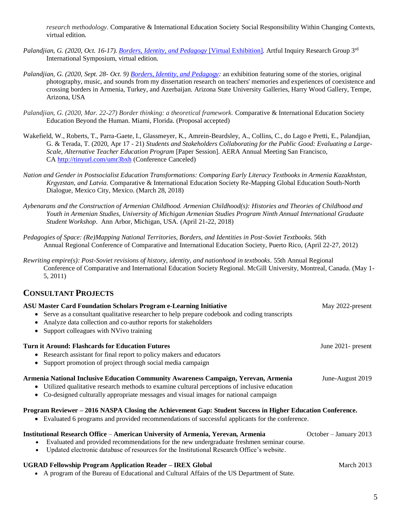*research methodology.* Comparative & International Education Society Social Responsibility Within Changing Contexts, virtual edition.

- *Palandjian, G. (2020, Oct. 16-17). [Borders, Identity, and Pedagogy](https://garinepalandjian.com/borders-identity-and-pedagogy/)* [Virtual Exhibition]. Artful Inquiry Research Group 3rd International Symposium, virtual edition.
- *Palandjian, G. (2020, Sept. 28- Oct. 9) [Borders, Identity, and Pedagogy:](https://asuevents.asu.edu/content/garine-palandjian-borders-identity-and-pedagogy?eventDate=2020-09-28T09%3A00&fbclid=IwAR13UJFVkgLkduzyafXlhnEK0P7yoRJDUbDRTJmGL_ggmFyE7YuIYkPKVs8)* an exhibition featuring some of the stories, original photography, music, and sounds from my dissertation research on teachers' memories and experiences of coexistence and crossing borders in Armenia, Turkey, and Azerbaijan. Arizona State University Galleries, Harry Wood Gallery, Tempe, Arizona, USA
- *Palandjian, G. (2020, Mar. 22-27) Border thinking: a theoretical framework.* Comparative & International Education Society Education Beyond the Human. Miami, Florida. (Proposal accepted)
- Wakefield, W., Roberts, T., Parra-Gaete, I., Glassmeyer, K., Amrein-Beardsley, A., Collins, C., do Lago e Pretti, E., Palandjian, G. & Terada, T. (2020, Apr 17 - 21) *Students and Stakeholders Collaborating for the Public Good: Evaluating a Large-Scale, Alternative Teacher Education Program* [Paper Session]. AERA Annual Meeting San Francisco, CA <http://tinyurl.com/umr3bxh> (Conference Canceled)
- *Nation and Gender in Postsocialist Education Transformations: Comparing Early Literacy Textbooks in Armenia Kazakhstan, Krgyzstan, and Latvia.* Comparative & International Education Society Re-Mapping Global Education South-North Dialogue*,* Mexico City, Mexico. (March 28, 2018)
- *Aybenarans and the Construction of Armenian Childhood. Armenian Childhood(s): Histories and Theories of Childhood and Youth in Armenian Studies, University of Michigan Armenian Studies Program Ninth Annual International Graduate Student Workshop*. Ann Arbor, Michigan, USA*.* (April 21-22, 2018)
- *Pedagogies of Space: (Re)Mapping National Territories, Borders, and Identities in Post-Soviet Textbooks.* 56th Annual Regional Conference of Comparative and International Education Society, Puerto Rico, (April 22-27, 2012)
- *Rewriting empire(s): Post-Soviet revisions of history, identity, and nationhood in textbooks*. 55th Annual Regional Conference of Comparative and International Education Society Regional. McGill University, Montreal, Canada. (May 1- 5, 2011)

### **CONSULTANT PROJECTS**

| <b>ASU Master Card Foundation Scholars Program e-Learning Initiative</b><br>Serve as a consultant qualitative researcher to help prepare codebook and coding transcripts<br>Analyze data collection and co-author reports for stakeholders<br>Support colleagues with NVivo training | May 2022-present       |
|--------------------------------------------------------------------------------------------------------------------------------------------------------------------------------------------------------------------------------------------------------------------------------------|------------------------|
| <b>Turn it Around: Flashcards for Education Futures</b>                                                                                                                                                                                                                              | June 2021- present     |
| Research assistant for final report to policy makers and educators                                                                                                                                                                                                                   |                        |
| Support promotion of project through social media campaign                                                                                                                                                                                                                           |                        |
| Armenia National Inclusive Education Community Awareness Campaign, Yerevan, Armenia<br>• Utilized qualitative research methods to examine cultural perceptions of inclusive education<br>Co-designed culturally appropriate messages and visual images for national campaign         | June-August 2019       |
| Program Reviewer - 2016 NASPA Closing the Achievement Gap: Student Success in Higher Education Conference.<br>Evaluated 6 programs and provided recommendations of successful applicants for the conference.                                                                         |                        |
| <b>Institutional Research Office – American University of Armenia, Yerevan, Armenia</b><br>Evaluated and provided recommendations for the new undergraduate freshmen seminar course.<br>Updated electronic database of resources for the Institutional Research Office's website.    | October – January 2013 |
| <b>UGRAD Fellowship Program Application Reader – IREX Global</b><br>• A program of the Bureau of Educational and Cultural Affairs of the US Department of State.                                                                                                                     | March 2013             |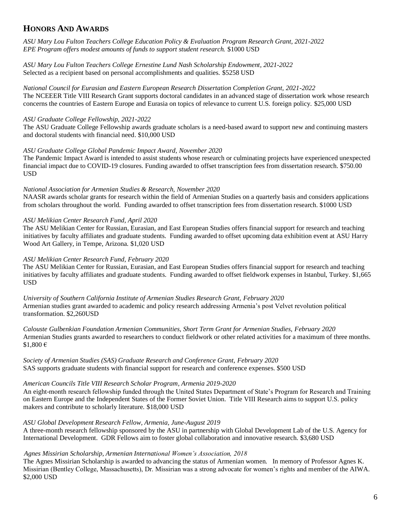### **HONORS AND AWARDS**

*ASU Mary Lou Fulton Teachers College Education Policy & Evaluation Program Research Grant, 2021-2022 EPE Program offers modest amounts of funds to support student research.* \$1000 USD

*ASU Mary Lou Fulton Teachers College Ernestine Lund Nash Scholarship Endowment, 2021-2022* Selected as a recipient based on personal accomplishments and qualities. \$5258 USD

*National Council for Eurasian and Eastern European Research Dissertation Completion Grant, 2021-2022* The NCEEER Title VIII Research Grant supports doctoral candidates in an advanced stage of dissertation work whose research concerns the countries of Eastern Europe and Eurasia on topics of relevance to current U.S. foreign policy. \$25,000 USD

#### *ASU Graduate College Fellowship, 2021-2022*

The ASU Graduate College Fellowship awards graduate scholars is a need-based award to support new and continuing masters and doctoral students with financial need. \$10,000 USD

#### *ASU Graduate College Global Pandemic Impact Award, November 2020*

The Pandemic Impact Award is intended to assist students whose research or culminating projects have experienced unexpected financial impact due to COVID-19 closures. Funding awarded to offset transcription fees from dissertation research. \$750.00 USD

### *National Association for Armenian Studies & Research, November 2020*

NAASR awards scholar grants for research within the field of Armenian Studies on a quarterly basis and considers applications from scholars throughout the world. Funding awarded to offset transcription fees from dissertation research. \$1000 USD

### *ASU Melikian Center Research Fund, April 2020*

The ASU Melikian Center for Russian, Eurasian, and East European Studies offers financial support for research and teaching initiatives by faculty affiliates and graduate students. Funding awarded to offset upcoming data exhibition event at ASU Harry Wood Art Gallery, in Tempe, Arizona. \$1,020 USD

#### *ASU Melikian Center Research Fund, February 2020*

The ASU Melikian Center for Russian, Eurasian, and East European Studies offers financial support for research and teaching initiatives by faculty affiliates and graduate students. Funding awarded to offset fieldwork expenses in Istanbul, Turkey. \$1,665 **USD** 

*University of Southern California Institute of Armenian Studies Research Grant, February 2020* Armenian studies grant awarded to academic and policy research addressing Armenia's post Velvet revolution political transformation. \$2,260USD

*Calouste Gulbenkian Foundation Armenian Communities, Short Term Grant for Armenian Studies, February 2020* Armenian Studies grants awarded to researchers to conduct fieldwork or other related activities for a maximum of three months. \$1,800 €

*Society of Armenian Studies (SAS) Graduate Research and Conference Grant, February 2020* SAS supports graduate students with financial support for research and conference expenses. \$500 USD

#### *American Councils Title VIII Research Scholar Program, Armenia 2019-2020*

An eight-month research fellowship funded through the United States Department of State's Program for Research and Training on Eastern Europe and the Independent States of the Former Soviet Union. Title VIII Research aims to support U.S. policy makers and contribute to scholarly literature. \$18,000 USD

#### *ASU Global Development Research Fellow, Armenia, June-August 2019*

A three-month research fellowship sponsored by the ASU in partnership with Global Development Lab of the U.S. Agency for International Development. GDR Fellows aim to foster global collaboration and innovative research. \$3,680 USD

#### *Agnes Missirian Scholarship, Armenian International Women's Association, 2018*

The Agnes Missirian Scholarship is awarded to advancing the status of Armenian women. In memory of Professor Agnes K. Missirian (Bentley College, Massachusetts), Dr. Missirian was a strong advocate for women's rights and member of the AIWA. \$2,000 USD